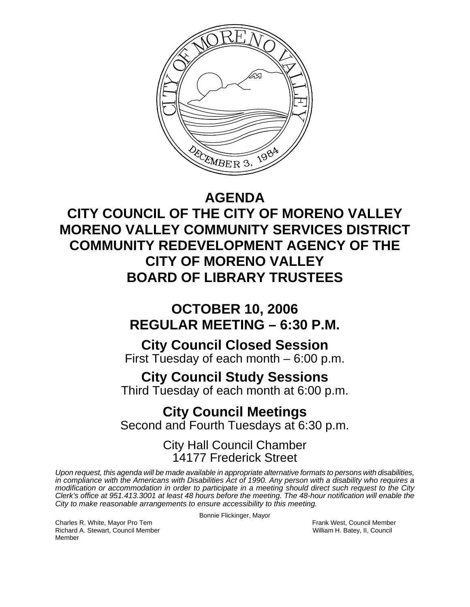

# **AGENDA**

**CITY COUNCIL OF THE CITY OF MORENO VALLEY MORENO VALLEY COMMUNITY SERVICES DISTRICT COMMUNITY REDEVELOPMENT AGENCY OF THE CITY OF MORENO VALLEY BOARD OF LIBRARY TRUSTEES** 

# **OCTOBER 10, 2006 REGULAR MEETING – 6:30 P.M.**

# **City Council Closed Session**

First Tuesday of each month – 6:00 p.m.

# **City Council Study Sessions**

Third Tuesday of each month at 6:00 p.m.

# **City Council Meetings**  Second and Fourth Tuesdays at 6:30 p.m.

# City Hall Council Chamber 14177 Frederick Street

*Upon request, this agenda will be made available in appropriate alternative formats to persons with disabilities, in compliance with the Americans with Disabilities Act of 1990. Any person with a disability who requires a modification or accommodation in order to participate in a meeting should direct such request to the City Clerk's office at 951.413.3001 at least 48 hours before the meeting. The 48-hour notification will enable the City to make reasonable arrangements to ensure accessibility to this meeting.* 

Bonnie Flickinger, Mayor

Charles R. White, Mayor Pro Tem Frank West, Council Member Richard A. Stewart, Council Member William H. Batey, II, Council Member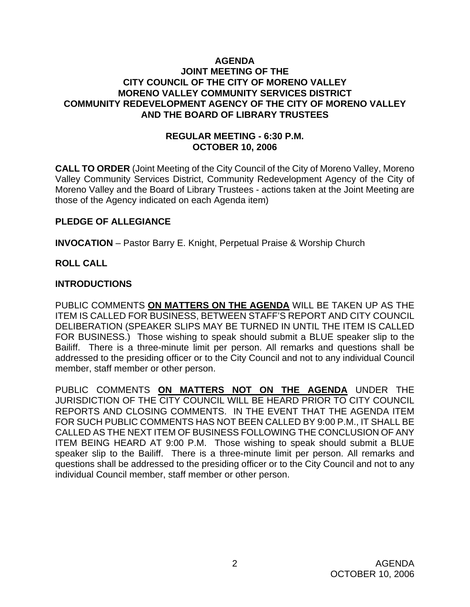## **AGENDA JOINT MEETING OF THE CITY COUNCIL OF THE CITY OF MORENO VALLEY MORENO VALLEY COMMUNITY SERVICES DISTRICT COMMUNITY REDEVELOPMENT AGENCY OF THE CITY OF MORENO VALLEY AND THE BOARD OF LIBRARY TRUSTEES**

### **REGULAR MEETING - 6:30 P.M. OCTOBER 10, 2006**

**CALL TO ORDER** (Joint Meeting of the City Council of the City of Moreno Valley, Moreno Valley Community Services District, Community Redevelopment Agency of the City of Moreno Valley and the Board of Library Trustees - actions taken at the Joint Meeting are those of the Agency indicated on each Agenda item)

#### **PLEDGE OF ALLEGIANCE**

**INVOCATION** – Pastor Barry E. Knight, Perpetual Praise & Worship Church

## **ROLL CALL**

#### **INTRODUCTIONS**

PUBLIC COMMENTS **ON MATTERS ON THE AGENDA** WILL BE TAKEN UP AS THE ITEM IS CALLED FOR BUSINESS, BETWEEN STAFF'S REPORT AND CITY COUNCIL DELIBERATION (SPEAKER SLIPS MAY BE TURNED IN UNTIL THE ITEM IS CALLED FOR BUSINESS.) Those wishing to speak should submit a BLUE speaker slip to the Bailiff. There is a three-minute limit per person. All remarks and questions shall be addressed to the presiding officer or to the City Council and not to any individual Council member, staff member or other person.

PUBLIC COMMENTS **ON MATTERS NOT ON THE AGENDA** UNDER THE JURISDICTION OF THE CITY COUNCIL WILL BE HEARD PRIOR TO CITY COUNCIL REPORTS AND CLOSING COMMENTS. IN THE EVENT THAT THE AGENDA ITEM FOR SUCH PUBLIC COMMENTS HAS NOT BEEN CALLED BY 9:00 P.M., IT SHALL BE CALLED AS THE NEXT ITEM OF BUSINESS FOLLOWING THE CONCLUSION OF ANY ITEM BEING HEARD AT 9:00 P.M. Those wishing to speak should submit a BLUE speaker slip to the Bailiff. There is a three-minute limit per person. All remarks and questions shall be addressed to the presiding officer or to the City Council and not to any individual Council member, staff member or other person.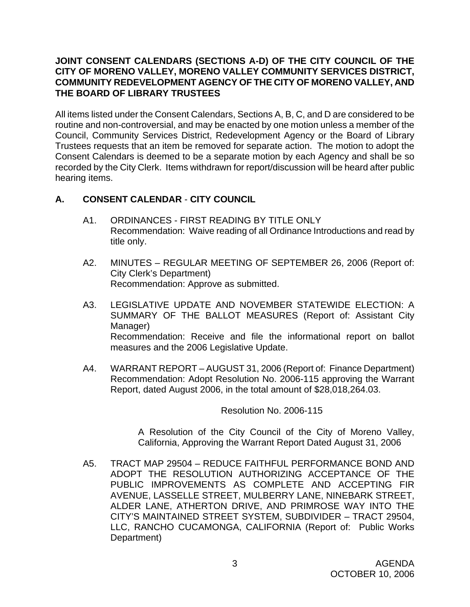# **JOINT CONSENT CALENDARS (SECTIONS A-D) OF THE CITY COUNCIL OF THE CITY OF MORENO VALLEY, MORENO VALLEY COMMUNITY SERVICES DISTRICT, COMMUNITY REDEVELOPMENT AGENCY OF THE CITY OF MORENO VALLEY, AND THE BOARD OF LIBRARY TRUSTEES**

All items listed under the Consent Calendars, Sections A, B, C, and D are considered to be routine and non-controversial, and may be enacted by one motion unless a member of the Council, Community Services District, Redevelopment Agency or the Board of Library Trustees requests that an item be removed for separate action. The motion to adopt the Consent Calendars is deemed to be a separate motion by each Agency and shall be so recorded by the City Clerk. Items withdrawn for report/discussion will be heard after public hearing items.

# **A. CONSENT CALENDAR** - **CITY COUNCIL**

- A1. ORDINANCES FIRST READING BY TITLE ONLY Recommendation: Waive reading of all Ordinance Introductions and read by title only.
- A2. MINUTES REGULAR MEETING OF SEPTEMBER 26, 2006 (Report of: City Clerk's Department) Recommendation: Approve as submitted.
- A3. LEGISLATIVE UPDATE AND NOVEMBER STATEWIDE ELECTION: A SUMMARY OF THE BALLOT MEASURES (Report of: Assistant City Manager) Recommendation: Receive and file the informational report on ballot measures and the 2006 Legislative Update.
- A4. WARRANT REPORT AUGUST 31, 2006 (Report of: Finance Department) Recommendation: Adopt Resolution No. 2006-115 approving the Warrant Report, dated August 2006, in the total amount of \$28,018,264.03.

Resolution No. 2006-115

 A Resolution of the City Council of the City of Moreno Valley, California, Approving the Warrant Report Dated August 31, 2006

A5. TRACT MAP 29504 – REDUCE FAITHFUL PERFORMANCE BOND AND ADOPT THE RESOLUTION AUTHORIZING ACCEPTANCE OF THE PUBLIC IMPROVEMENTS AS COMPLETE AND ACCEPTING FIR AVENUE, LASSELLE STREET, MULBERRY LANE, NINEBARK STREET, ALDER LANE, ATHERTON DRIVE, AND PRIMROSE WAY INTO THE CITY'S MAINTAINED STREET SYSTEM, SUBDIVIDER – TRACT 29504, LLC, RANCHO CUCAMONGA, CALIFORNIA (Report of: Public Works Department)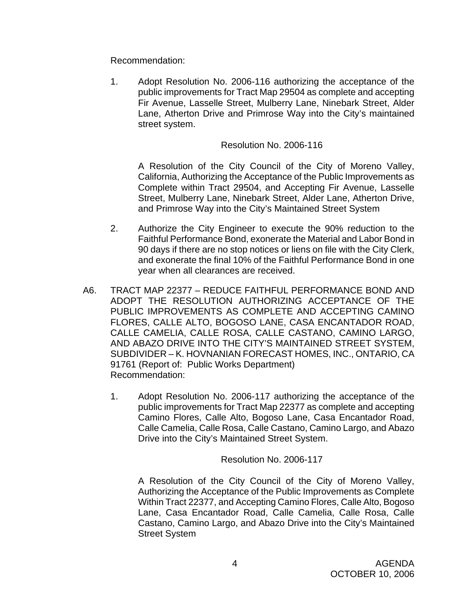Recommendation:

 1. Adopt Resolution No. 2006-116 authorizing the acceptance of the public improvements for Tract Map 29504 as complete and accepting Fir Avenue, Lasselle Street, Mulberry Lane, Ninebark Street, Alder Lane, Atherton Drive and Primrose Way into the City's maintained street system.

#### Resolution No. 2006-116

 A Resolution of the City Council of the City of Moreno Valley, California, Authorizing the Acceptance of the Public Improvements as Complete within Tract 29504, and Accepting Fir Avenue, Lasselle Street, Mulberry Lane, Ninebark Street, Alder Lane, Atherton Drive, and Primrose Way into the City's Maintained Street System

- 2. Authorize the City Engineer to execute the 90% reduction to the Faithful Performance Bond, exonerate the Material and Labor Bond in 90 days if there are no stop notices or liens on file with the City Clerk, and exonerate the final 10% of the Faithful Performance Bond in one year when all clearances are received.
- A6. TRACT MAP 22377 REDUCE FAITHFUL PERFORMANCE BOND AND ADOPT THE RESOLUTION AUTHORIZING ACCEPTANCE OF THE PUBLIC IMPROVEMENTS AS COMPLETE AND ACCEPTING CAMINO FLORES, CALLE ALTO, BOGOSO LANE, CASA ENCANTADOR ROAD, CALLE CAMELIA, CALLE ROSA, CALLE CASTANO, CAMINO LARGO, AND ABAZO DRIVE INTO THE CITY'S MAINTAINED STREET SYSTEM, SUBDIVIDER – K. HOVNANIAN FORECAST HOMES, INC., ONTARIO, CA 91761 (Report of: Public Works Department) Recommendation:
	- 1. Adopt Resolution No. 2006-117 authorizing the acceptance of the public improvements for Tract Map 22377 as complete and accepting Camino Flores, Calle Alto, Bogoso Lane, Casa Encantador Road, Calle Camelia, Calle Rosa, Calle Castano, Camino Largo, and Abazo Drive into the City's Maintained Street System.

Resolution No. 2006-117

 A Resolution of the City Council of the City of Moreno Valley, Authorizing the Acceptance of the Public Improvements as Complete Within Tract 22377, and Accepting Camino Flores, Calle Alto, Bogoso Lane, Casa Encantador Road, Calle Camelia, Calle Rosa, Calle Castano, Camino Largo, and Abazo Drive into the City's Maintained Street System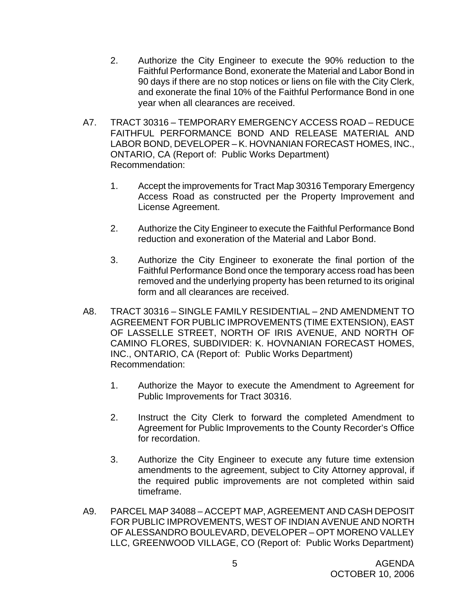- 2. Authorize the City Engineer to execute the 90% reduction to the Faithful Performance Bond, exonerate the Material and Labor Bond in 90 days if there are no stop notices or liens on file with the City Clerk, and exonerate the final 10% of the Faithful Performance Bond in one year when all clearances are received.
- A7. TRACT 30316 TEMPORARY EMERGENCY ACCESS ROAD REDUCE FAITHFUL PERFORMANCE BOND AND RELEASE MATERIAL AND LABOR BOND, DEVELOPER – K. HOVNANIAN FORECAST HOMES, INC., ONTARIO, CA (Report of: Public Works Department) Recommendation:
	- 1. Accept the improvements for Tract Map 30316 Temporary Emergency Access Road as constructed per the Property Improvement and License Agreement.
	- 2. Authorize the City Engineer to execute the Faithful Performance Bond reduction and exoneration of the Material and Labor Bond.
	- 3. Authorize the City Engineer to exonerate the final portion of the Faithful Performance Bond once the temporary access road has been removed and the underlying property has been returned to its original form and all clearances are received.
- A8. TRACT 30316 SINGLE FAMILY RESIDENTIAL 2ND AMENDMENT TO AGREEMENT FOR PUBLIC IMPROVEMENTS (TIME EXTENSION), EAST OF LASSELLE STREET, NORTH OF IRIS AVENUE, AND NORTH OF CAMINO FLORES, SUBDIVIDER: K. HOVNANIAN FORECAST HOMES, INC., ONTARIO, CA (Report of: Public Works Department) Recommendation:
	- 1. Authorize the Mayor to execute the Amendment to Agreement for Public Improvements for Tract 30316.
	- 2. Instruct the City Clerk to forward the completed Amendment to Agreement for Public Improvements to the County Recorder's Office for recordation.
	- 3. Authorize the City Engineer to execute any future time extension amendments to the agreement, subject to City Attorney approval, if the required public improvements are not completed within said timeframe.
- A9. PARCEL MAP 34088 ACCEPT MAP, AGREEMENT AND CASH DEPOSIT FOR PUBLIC IMPROVEMENTS, WEST OF INDIAN AVENUE AND NORTH OF ALESSANDRO BOULEVARD, DEVELOPER – OPT MORENO VALLEY LLC, GREENWOOD VILLAGE, CO (Report of: Public Works Department)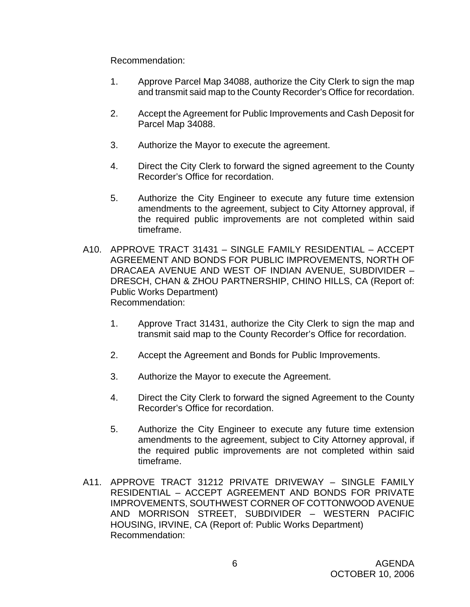Recommendation:

- 1. Approve Parcel Map 34088, authorize the City Clerk to sign the map and transmit said map to the County Recorder's Office for recordation.
- 2. Accept the Agreement for Public Improvements and Cash Deposit for Parcel Map 34088.
- 3. Authorize the Mayor to execute the agreement.
- 4. Direct the City Clerk to forward the signed agreement to the County Recorder's Office for recordation.
- 5. Authorize the City Engineer to execute any future time extension amendments to the agreement, subject to City Attorney approval, if the required public improvements are not completed within said timeframe.
- A10. APPROVE TRACT 31431 SINGLE FAMILY RESIDENTIAL ACCEPT AGREEMENT AND BONDS FOR PUBLIC IMPROVEMENTS, NORTH OF DRACAEA AVENUE AND WEST OF INDIAN AVENUE, SUBDIVIDER – DRESCH, CHAN & ZHOU PARTNERSHIP, CHINO HILLS, CA (Report of: Public Works Department) Recommendation:
	- 1. Approve Tract 31431, authorize the City Clerk to sign the map and transmit said map to the County Recorder's Office for recordation.
	- 2. Accept the Agreement and Bonds for Public Improvements.
	- 3. Authorize the Mayor to execute the Agreement.
	- 4. Direct the City Clerk to forward the signed Agreement to the County Recorder's Office for recordation.
	- 5. Authorize the City Engineer to execute any future time extension amendments to the agreement, subject to City Attorney approval, if the required public improvements are not completed within said timeframe.
- A11. APPROVE TRACT 31212 PRIVATE DRIVEWAY SINGLE FAMILY RESIDENTIAL – ACCEPT AGREEMENT AND BONDS FOR PRIVATE IMPROVEMENTS, SOUTHWEST CORNER OF COTTONWOOD AVENUE AND MORRISON STREET, SUBDIVIDER – WESTERN PACIFIC HOUSING, IRVINE, CA (Report of: Public Works Department) Recommendation: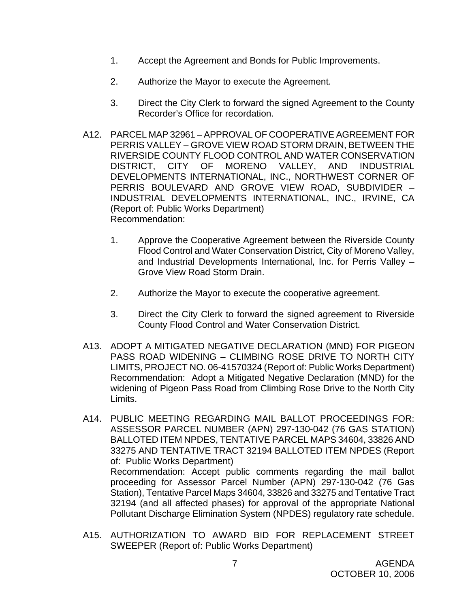- 1. Accept the Agreement and Bonds for Public Improvements.
- 2. Authorize the Mayor to execute the Agreement.
- 3. Direct the City Clerk to forward the signed Agreement to the County Recorder's Office for recordation.
- A12. PARCEL MAP 32961 APPROVAL OF COOPERATIVE AGREEMENT FOR PERRIS VALLEY – GROVE VIEW ROAD STORM DRAIN, BETWEEN THE RIVERSIDE COUNTY FLOOD CONTROL AND WATER CONSERVATION DISTRICT, CITY OF MORENO VALLEY, AND INDUSTRIAL DEVELOPMENTS INTERNATIONAL, INC., NORTHWEST CORNER OF PERRIS BOULEVARD AND GROVE VIEW ROAD, SUBDIVIDER – INDUSTRIAL DEVELOPMENTS INTERNATIONAL, INC., IRVINE, CA (Report of: Public Works Department) Recommendation:
	- 1. Approve the Cooperative Agreement between the Riverside County Flood Control and Water Conservation District, City of Moreno Valley, and Industrial Developments International, Inc. for Perris Valley – Grove View Road Storm Drain.
	- 2. Authorize the Mayor to execute the cooperative agreement.
	- 3. Direct the City Clerk to forward the signed agreement to Riverside County Flood Control and Water Conservation District.
- A13. ADOPT A MITIGATED NEGATIVE DECLARATION (MND) FOR PIGEON PASS ROAD WIDENING – CLIMBING ROSE DRIVE TO NORTH CITY LIMITS, PROJECT NO. 06-41570324 (Report of: Public Works Department) Recommendation: Adopt a Mitigated Negative Declaration (MND) for the widening of Pigeon Pass Road from Climbing Rose Drive to the North City Limits.
- A14. PUBLIC MEETING REGARDING MAIL BALLOT PROCEEDINGS FOR: ASSESSOR PARCEL NUMBER (APN) 297-130-042 (76 GAS STATION) BALLOTED ITEM NPDES, TENTATIVE PARCEL MAPS 34604, 33826 AND 33275 AND TENTATIVE TRACT 32194 BALLOTED ITEM NPDES (Report of: Public Works Department) Recommendation: Accept public comments regarding the mail ballot proceeding for Assessor Parcel Number (APN) 297-130-042 (76 Gas Station), Tentative Parcel Maps 34604, 33826 and 33275 and Tentative Tract 32194 (and all affected phases) for approval of the appropriate National Pollutant Discharge Elimination System (NPDES) regulatory rate schedule.
- A15. AUTHORIZATION TO AWARD BID FOR REPLACEMENT STREET SWEEPER (Report of: Public Works Department)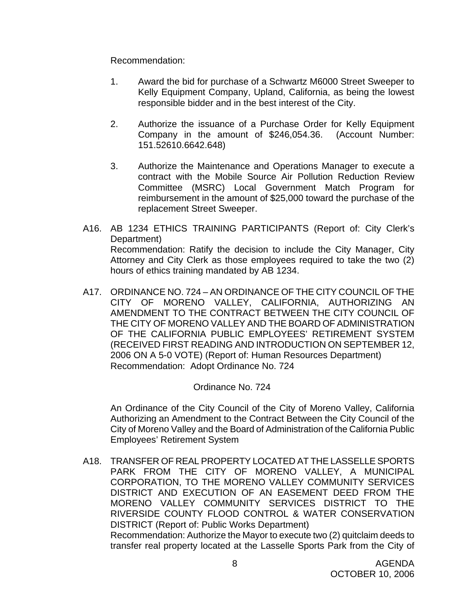Recommendation:

- 1. Award the bid for purchase of a Schwartz M6000 Street Sweeper to Kelly Equipment Company, Upland, California, as being the lowest responsible bidder and in the best interest of the City.
- 2. Authorize the issuance of a Purchase Order for Kelly Equipment Company in the amount of \$246,054.36. (Account Number: 151.52610.6642.648)
- 3. Authorize the Maintenance and Operations Manager to execute a contract with the Mobile Source Air Pollution Reduction Review Committee (MSRC) Local Government Match Program for reimbursement in the amount of \$25,000 toward the purchase of the replacement Street Sweeper.
- A16. AB 1234 ETHICS TRAINING PARTICIPANTS (Report of: City Clerk's Department) Recommendation: Ratify the decision to include the City Manager, City Attorney and City Clerk as those employees required to take the two (2) hours of ethics training mandated by AB 1234.
- A17. ORDINANCE NO. 724 AN ORDINANCE OF THE CITY COUNCIL OF THE CITY OF MORENO VALLEY, CALIFORNIA, AUTHORIZING AN AMENDMENT TO THE CONTRACT BETWEEN THE CITY COUNCIL OF THE CITY OF MORENO VALLEY AND THE BOARD OF ADMINISTRATION OF THE CALIFORNIA PUBLIC EMPLOYEES' RETIREMENT SYSTEM (RECEIVED FIRST READING AND INTRODUCTION ON SEPTEMBER 12, 2006 ON A 5-0 VOTE) (Report of: Human Resources Department) Recommendation: Adopt Ordinance No. 724

# Ordinance No. 724

 An Ordinance of the City Council of the City of Moreno Valley, California Authorizing an Amendment to the Contract Between the City Council of the City of Moreno Valley and the Board of Administration of the California Public Employees' Retirement System

A18. TRANSFER OF REAL PROPERTY LOCATED AT THE LASSELLE SPORTS PARK FROM THE CITY OF MORENO VALLEY, A MUNICIPAL CORPORATION, TO THE MORENO VALLEY COMMUNITY SERVICES DISTRICT AND EXECUTION OF AN EASEMENT DEED FROM THE MORENO VALLEY COMMUNITY SERVICES DISTRICT TO THE RIVERSIDE COUNTY FLOOD CONTROL & WATER CONSERVATION DISTRICT (Report of: Public Works Department) Recommendation: Authorize the Mayor to execute two (2) quitclaim deeds to transfer real property located at the Lasselle Sports Park from the City of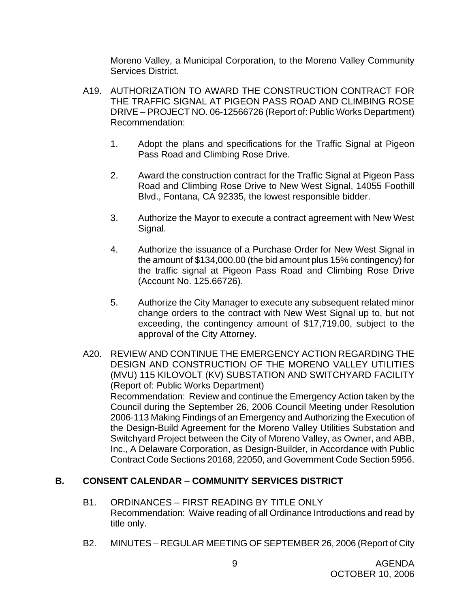Moreno Valley, a Municipal Corporation, to the Moreno Valley Community Services District.

- A19. AUTHORIZATION TO AWARD THE CONSTRUCTION CONTRACT FOR THE TRAFFIC SIGNAL AT PIGEON PASS ROAD AND CLIMBING ROSE DRIVE – PROJECT NO. 06-12566726 (Report of: Public Works Department) Recommendation:
	- 1. Adopt the plans and specifications for the Traffic Signal at Pigeon Pass Road and Climbing Rose Drive.
	- 2. Award the construction contract for the Traffic Signal at Pigeon Pass Road and Climbing Rose Drive to New West Signal, 14055 Foothill Blvd., Fontana, CA 92335, the lowest responsible bidder.
	- 3. Authorize the Mayor to execute a contract agreement with New West Signal.
	- 4. Authorize the issuance of a Purchase Order for New West Signal in the amount of \$134,000.00 (the bid amount plus 15% contingency) for the traffic signal at Pigeon Pass Road and Climbing Rose Drive (Account No. 125.66726).
	- 5. Authorize the City Manager to execute any subsequent related minor change orders to the contract with New West Signal up to, but not exceeding, the contingency amount of \$17,719.00, subject to the approval of the City Attorney.
- A20. REVIEW AND CONTINUE THE EMERGENCY ACTION REGARDING THE DESIGN AND CONSTRUCTION OF THE MORENO VALLEY UTILITIES (MVU) 115 KILOVOLT (KV) SUBSTATION AND SWITCHYARD FACILITY (Report of: Public Works Department) Recommendation: Review and continue the Emergency Action taken by the Council during the September 26, 2006 Council Meeting under Resolution 2006-113 Making Findings of an Emergency and Authorizing the Execution of the Design-Build Agreement for the Moreno Valley Utilities Substation and Switchyard Project between the City of Moreno Valley, as Owner, and ABB, Inc., A Delaware Corporation, as Design-Builder, in Accordance with Public Contract Code Sections 20168, 22050, and Government Code Section 5956.

# **B. CONSENT CALENDAR** – **COMMUNITY SERVICES DISTRICT**

- B1. ORDINANCES FIRST READING BY TITLE ONLY Recommendation: Waive reading of all Ordinance Introductions and read by title only.
- B2. MINUTES REGULAR MEETING OF SEPTEMBER 26, 2006 (Report of City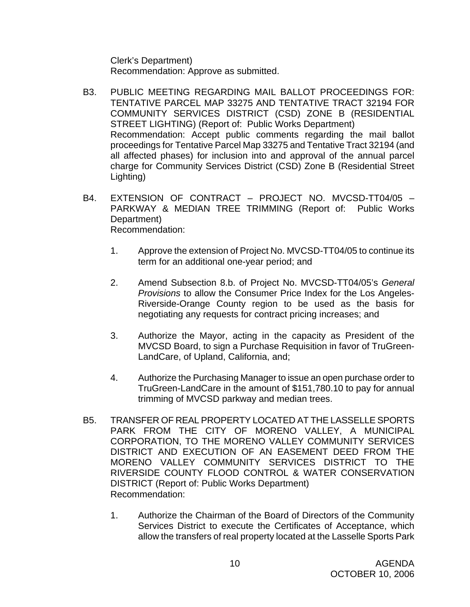Clerk's Department) Recommendation: Approve as submitted.

- B3. PUBLIC MEETING REGARDING MAIL BALLOT PROCEEDINGS FOR: TENTATIVE PARCEL MAP 33275 AND TENTATIVE TRACT 32194 FOR COMMUNITY SERVICES DISTRICT (CSD) ZONE B (RESIDENTIAL STREET LIGHTING) (Report of: Public Works Department) Recommendation: Accept public comments regarding the mail ballot proceedings for Tentative Parcel Map 33275 and Tentative Tract 32194 (and all affected phases) for inclusion into and approval of the annual parcel charge for Community Services District (CSD) Zone B (Residential Street Lighting)
- B4. EXTENSION OF CONTRACT PROJECT NO. MVCSD-TT04/05 PARKWAY & MEDIAN TREE TRIMMING (Report of: Public Works Department) Recommendation:
	- 1. Approve the extension of Project No. MVCSD-TT04/05 to continue its term for an additional one-year period; and
	- 2. Amend Subsection 8.b. of Project No. MVCSD-TT04/05's *General Provisions* to allow the Consumer Price Index for the Los Angeles-Riverside-Orange County region to be used as the basis for negotiating any requests for contract pricing increases; and
	- 3. Authorize the Mayor, acting in the capacity as President of the MVCSD Board, to sign a Purchase Requisition in favor of TruGreen-LandCare, of Upland, California, and;
	- 4. Authorize the Purchasing Manager to issue an open purchase order to TruGreen-LandCare in the amount of \$151,780.10 to pay for annual trimming of MVCSD parkway and median trees.
- B5. TRANSFER OF REAL PROPERTY LOCATED AT THE LASSELLE SPORTS PARK FROM THE CITY OF MORENO VALLEY, A MUNICIPAL CORPORATION, TO THE MORENO VALLEY COMMUNITY SERVICES DISTRICT AND EXECUTION OF AN EASEMENT DEED FROM THE MORENO VALLEY COMMUNITY SERVICES DISTRICT TO THE RIVERSIDE COUNTY FLOOD CONTROL & WATER CONSERVATION DISTRICT (Report of: Public Works Department) Recommendation:
	- 1. Authorize the Chairman of the Board of Directors of the Community Services District to execute the Certificates of Acceptance, which allow the transfers of real property located at the Lasselle Sports Park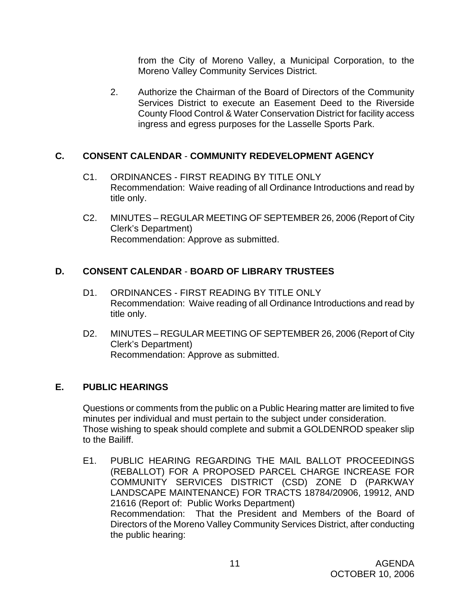from the City of Moreno Valley, a Municipal Corporation, to the Moreno Valley Community Services District.

 2. Authorize the Chairman of the Board of Directors of the Community Services District to execute an Easement Deed to the Riverside County Flood Control & Water Conservation District for facility access ingress and egress purposes for the Lasselle Sports Park.

# **C. CONSENT CALENDAR** - **COMMUNITY REDEVELOPMENT AGENCY**

- C1. ORDINANCES FIRST READING BY TITLE ONLY Recommendation: Waive reading of all Ordinance Introductions and read by title only.
- C2. MINUTES REGULAR MEETING OF SEPTEMBER 26, 2006 (Report of City Clerk's Department) Recommendation: Approve as submitted.

# **D. CONSENT CALENDAR** - **BOARD OF LIBRARY TRUSTEES**

- D1. ORDINANCES FIRST READING BY TITLE ONLY Recommendation: Waive reading of all Ordinance Introductions and read by title only.
- D2. MINUTES REGULAR MEETING OF SEPTEMBER 26, 2006 (Report of City Clerk's Department) Recommendation: Approve as submitted.

# **E. PUBLIC HEARINGS**

Questions or comments from the public on a Public Hearing matter are limited to five minutes per individual and must pertain to the subject under consideration. Those wishing to speak should complete and submit a GOLDENROD speaker slip to the Bailiff.

 E1. PUBLIC HEARING REGARDING THE MAIL BALLOT PROCEEDINGS (REBALLOT) FOR A PROPOSED PARCEL CHARGE INCREASE FOR COMMUNITY SERVICES DISTRICT (CSD) ZONE D (PARKWAY LANDSCAPE MAINTENANCE) FOR TRACTS 18784/20906, 19912, AND 21616 (Report of: Public Works Department) Recommendation: That the President and Members of the Board of Directors of the Moreno Valley Community Services District, after conducting the public hearing: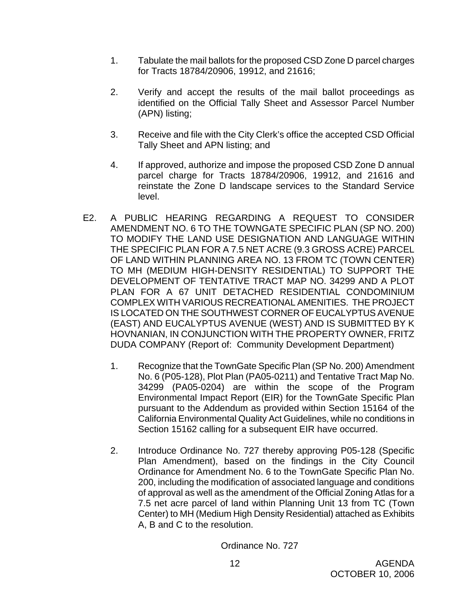- 1. Tabulate the mail ballots for the proposed CSD Zone D parcel charges for Tracts 18784/20906, 19912, and 21616;
- 2. Verify and accept the results of the mail ballot proceedings as identified on the Official Tally Sheet and Assessor Parcel Number (APN) listing;
- 3. Receive and file with the City Clerk's office the accepted CSD Official Tally Sheet and APN listing; and
- 4. If approved, authorize and impose the proposed CSD Zone D annual parcel charge for Tracts 18784/20906, 19912, and 21616 and reinstate the Zone D landscape services to the Standard Service level.
- E2. A PUBLIC HEARING REGARDING A REQUEST TO CONSIDER AMENDMENT NO. 6 TO THE TOWNGATE SPECIFIC PLAN (SP NO. 200) TO MODIFY THE LAND USE DESIGNATION AND LANGUAGE WITHIN THE SPECIFIC PLAN FOR A 7.5 NET ACRE (9.3 GROSS ACRE) PARCEL OF LAND WITHIN PLANNING AREA NO. 13 FROM TC (TOWN CENTER) TO MH (MEDIUM HIGH-DENSITY RESIDENTIAL) TO SUPPORT THE DEVELOPMENT OF TENTATIVE TRACT MAP NO. 34299 AND A PLOT PLAN FOR A 67 UNIT DETACHED RESIDENTIAL CONDOMINIUM COMPLEX WITH VARIOUS RECREATIONAL AMENITIES. THE PROJECT IS LOCATED ON THE SOUTHWEST CORNER OF EUCALYPTUS AVENUE (EAST) AND EUCALYPTUS AVENUE (WEST) AND IS SUBMITTED BY K HOVNANIAN, IN CONJUNCTION WITH THE PROPERTY OWNER, FRITZ DUDA COMPANY (Report of: Community Development Department)
	- 1. Recognize that the TownGate Specific Plan (SP No. 200) Amendment No. 6 (P05-128), Plot Plan (PA05-0211) and Tentative Tract Map No. 34299 (PA05-0204) are within the scope of the Program Environmental Impact Report (EIR) for the TownGate Specific Plan pursuant to the Addendum as provided within Section 15164 of the California Environmental Quality Act Guidelines, while no conditions in Section 15162 calling for a subsequent EIR have occurred.
	- 2. Introduce Ordinance No. 727 thereby approving P05-128 (Specific Plan Amendment), based on the findings in the City Council Ordinance for Amendment No. 6 to the TownGate Specific Plan No. 200, including the modification of associated language and conditions of approval as well as the amendment of the Official Zoning Atlas for a 7.5 net acre parcel of land within Planning Unit 13 from TC (Town Center) to MH (Medium High Density Residential) attached as Exhibits A, B and C to the resolution.

Ordinance No. 727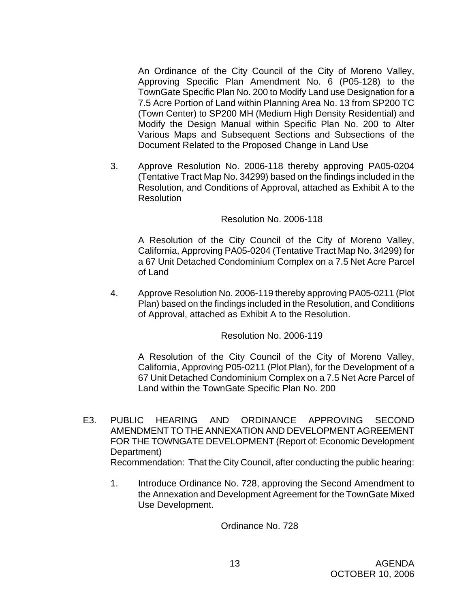An Ordinance of the City Council of the City of Moreno Valley, Approving Specific Plan Amendment No. 6 (P05-128) to the TownGate Specific Plan No. 200 to Modify Land use Designation for a 7.5 Acre Portion of Land within Planning Area No. 13 from SP200 TC (Town Center) to SP200 MH (Medium High Density Residential) and Modify the Design Manual within Specific Plan No. 200 to Alter Various Maps and Subsequent Sections and Subsections of the Document Related to the Proposed Change in Land Use

 3. Approve Resolution No. 2006-118 thereby approving PA05-0204 (Tentative Tract Map No. 34299) based on the findings included in the Resolution, and Conditions of Approval, attached as Exhibit A to the **Resolution** 

#### Resolution No. 2006-118

 A Resolution of the City Council of the City of Moreno Valley, California, Approving PA05-0204 (Tentative Tract Map No. 34299) for a 67 Unit Detached Condominium Complex on a 7.5 Net Acre Parcel of Land

 4. Approve Resolution No. 2006-119 thereby approving PA05-0211 (Plot Plan) based on the findings included in the Resolution, and Conditions of Approval, attached as Exhibit A to the Resolution.

Resolution No. 2006-119

 A Resolution of the City Council of the City of Moreno Valley, California, Approving P05-0211 (Plot Plan), for the Development of a 67 Unit Detached Condominium Complex on a 7.5 Net Acre Parcel of Land within the TownGate Specific Plan No. 200

- E3. PUBLIC HEARING AND ORDINANCE APPROVING SECOND AMENDMENT TO THE ANNEXATION AND DEVELOPMENT AGREEMENT FOR THE TOWNGATE DEVELOPMENT (Report of: Economic Development Department) Recommendation: That the City Council, after conducting the public hearing:
	- 1. Introduce Ordinance No. 728, approving the Second Amendment to the Annexation and Development Agreement for the TownGate Mixed Use Development.

Ordinance No. 728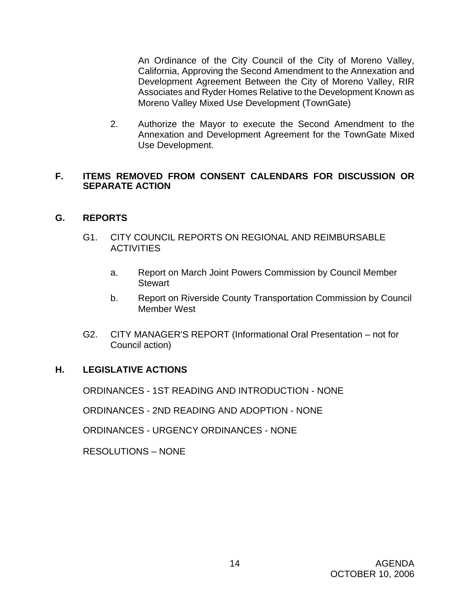An Ordinance of the City Council of the City of Moreno Valley, California, Approving the Second Amendment to the Annexation and Development Agreement Between the City of Moreno Valley, RIR Associates and Ryder Homes Relative to the Development Known as Moreno Valley Mixed Use Development (TownGate)

 2. Authorize the Mayor to execute the Second Amendment to the Annexation and Development Agreement for the TownGate Mixed Use Development.

#### **F. ITEMS REMOVED FROM CONSENT CALENDARS FOR DISCUSSION OR SEPARATE ACTION**

## **G. REPORTS**

- G1. CITY COUNCIL REPORTS ON REGIONAL AND REIMBURSABLE **ACTIVITIES** 
	- a. Report on March Joint Powers Commission by Council Member **Stewart**
	- b. Report on Riverside County Transportation Commission by Council Member West
- G2. CITY MANAGER'S REPORT (Informational Oral Presentation not for Council action)

#### **H. LEGISLATIVE ACTIONS**

ORDINANCES - 1ST READING AND INTRODUCTION - NONE

ORDINANCES - 2ND READING AND ADOPTION - NONE

ORDINANCES - URGENCY ORDINANCES - NONE

RESOLUTIONS – NONE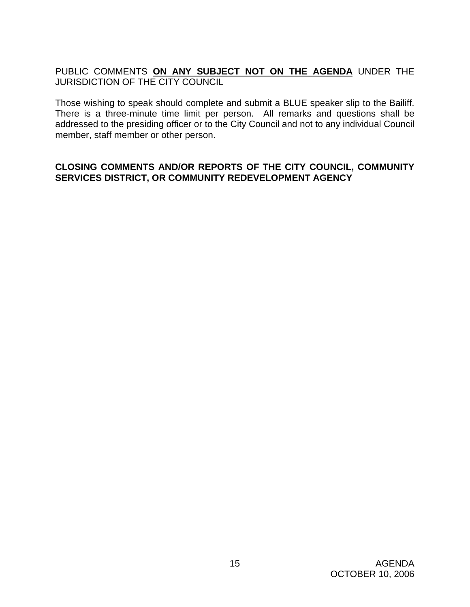PUBLIC COMMENTS **ON ANY SUBJECT NOT ON THE AGENDA** UNDER THE JURISDICTION OF THE CITY COUNCIL

Those wishing to speak should complete and submit a BLUE speaker slip to the Bailiff. There is a three-minute time limit per person. All remarks and questions shall be addressed to the presiding officer or to the City Council and not to any individual Council member, staff member or other person.

### **CLOSING COMMENTS AND/OR REPORTS OF THE CITY COUNCIL, COMMUNITY SERVICES DISTRICT, OR COMMUNITY REDEVELOPMENT AGENCY**